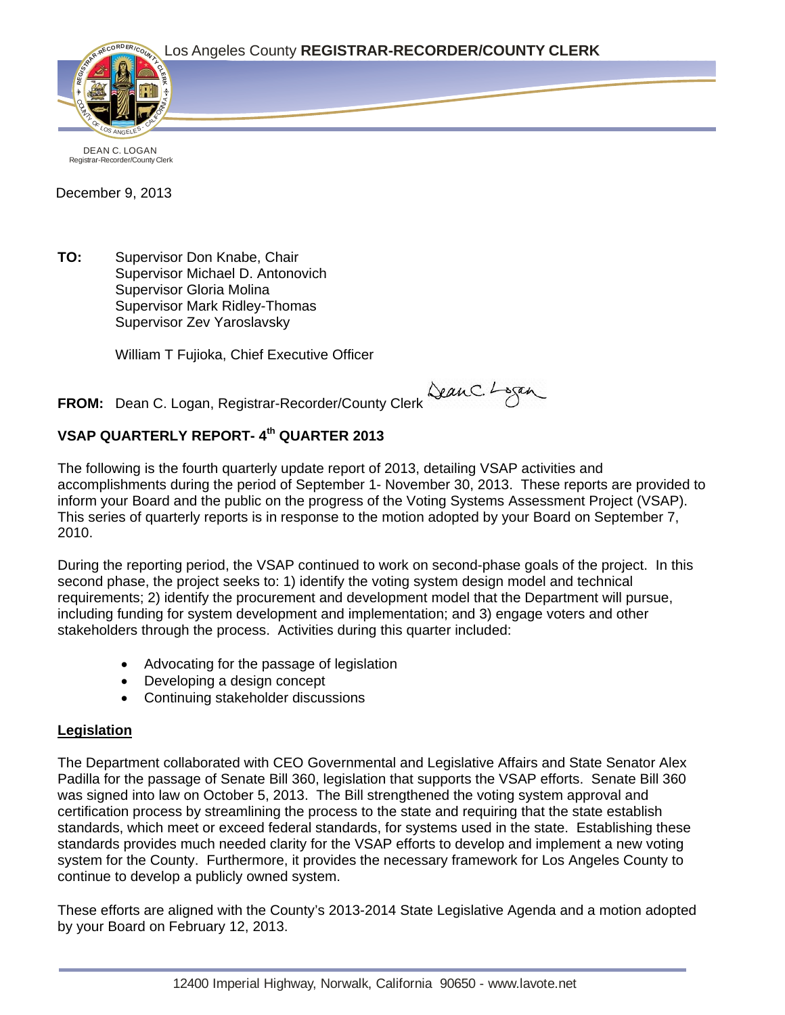

DEAN C. LOGAN Registrar-Recorder/County Clerk

December 9, 2013

**TO:** Supervisor Don Knabe, Chair Supervisor Michael D. Antonovich Supervisor Gloria Molina Supervisor Mark Ridley-Thomas Supervisor Zev Yaroslavsky

William T Fujioka, Chief Executive Officer

**FROM:** Dean C. Logan, Registrar-Recorder/County Clerk Querc. Logan

# **VSAP QUARTERLY REPORT- 4th QUARTER 2013**

The following is the fourth quarterly update report of 2013, detailing VSAP activities and accomplishments during the period of September 1- November 30, 2013. These reports are provided to inform your Board and the public on the progress of the Voting Systems Assessment Project (VSAP). This series of quarterly reports is in response to the motion adopted by your Board on September 7, 2010.

During the reporting period, the VSAP continued to work on second-phase goals of the project. In this second phase, the project seeks to: 1) identify the voting system design model and technical requirements; 2) identify the procurement and development model that the Department will pursue, including funding for system development and implementation; and 3) engage voters and other stakeholders through the process. Activities during this quarter included:

- Advocating for the passage of legislation
- Developing a design concept
- Continuing stakeholder discussions

## **Legislation**

The Department collaborated with CEO Governmental and Legislative Affairs and State Senator Alex Padilla for the passage of Senate Bill 360, legislation that supports the VSAP efforts. Senate Bill 360 was signed into law on October 5, 2013. The Bill strengthened the voting system approval and certification process by streamlining the process to the state and requiring that the state establish standards, which meet or exceed federal standards, for systems used in the state. Establishing these standards provides much needed clarity for the VSAP efforts to develop and implement a new voting system for the County. Furthermore, it provides the necessary framework for Los Angeles County to continue to develop a publicly owned system.

These efforts are aligned with the County's 2013-2014 State Legislative Agenda and a motion adopted by your Board on February 12, 2013.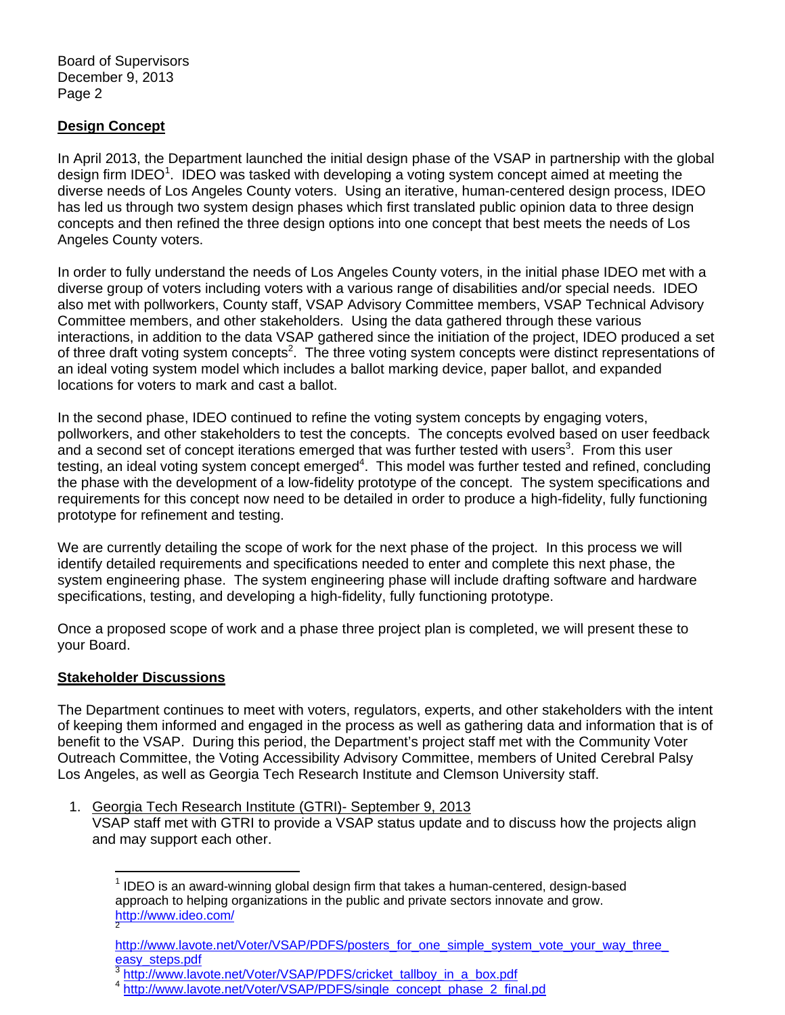Board of Supervisors December 9, 2013 Page 2

## **Design Concept**

In April 2013, the Department launched the initial design phase of the VSAP in partnership with the global design firm IDEO<sup>1</sup>. IDEO was tasked with developing a voting system concept aimed at meeting the diverse needs of Los Angeles County voters. Using an iterative, human-centered design process, IDEO has led us through two system design phases which first translated public opinion data to three design concepts and then refined the three design options into one concept that best meets the needs of Los Angeles County voters.

In order to fully understand the needs of Los Angeles County voters, in the initial phase IDEO met with a diverse group of voters including voters with a various range of disabilities and/or special needs. IDEO also met with pollworkers, County staff, VSAP Advisory Committee members, VSAP Technical Advisory Committee members, and other stakeholders. Using the data gathered through these various interactions, in addition to the data VSAP gathered since the initiation of the project, IDEO produced a set of three draft voting system concepts<sup>2</sup>. The three voting system concepts were distinct representations of an ideal voting system model which includes a ballot marking device, paper ballot, and expanded locations for voters to mark and cast a ballot.

In the second phase, IDEO continued to refine the voting system concepts by engaging voters, pollworkers, and other stakeholders to test the concepts. The concepts evolved based on user feedback and a second set of concept iterations emerged that was further tested with users<sup>3</sup>. From this user testing, an ideal voting system concept emerged<sup>4</sup>. This model was further tested and refined, concluding the phase with the development of a low-fidelity prototype of the concept. The system specifications and requirements for this concept now need to be detailed in order to produce a high-fidelity, fully functioning prototype for refinement and testing.

We are currently detailing the scope of work for the next phase of the project. In this process we will identify detailed requirements and specifications needed to enter and complete this next phase, the system engineering phase. The system engineering phase will include drafting software and hardware specifications, testing, and developing a high-fidelity, fully functioning prototype.

Once a proposed scope of work and a phase three project plan is completed, we will present these to your Board.

## **Stakeholder Discussions**

The Department continues to meet with voters, regulators, experts, and other stakeholders with the intent of keeping them informed and engaged in the process as well as gathering data and information that is of benefit to the VSAP. During this period, the Department's project staff met with the Community Voter Outreach Committee, the Voting Accessibility Advisory Committee, members of United Cerebral Palsy Los Angeles, as well as Georgia Tech Research Institute and Clemson University staff.

1. Georgia Tech Research Institute (GTRI)- September 9, 2013 VSAP staff met with GTRI to provide a VSAP status update and to discuss how the projects align and may support each other.

 $\overline{a}$  $1$  IDEO is an award-winning global design firm that takes a human-centered, design-based approach to helping organizations in the public and private sectors innovate and grow. http://www.ideo.com/ 2

http://www.lavote.net/Voter/VSAP/PDFS/posters\_for\_one\_simple\_system\_vote\_your\_way\_three\_<br>easy\_steps.pdf

asteps.//www.lavote.net/Voter/VSAP/PDFS/cricket\_tallboy\_in\_a\_box.pdf<br>4 http://www.lavote.net/Voter/VSAP/PDFS/single\_concept\_phase\_2\_final.pd